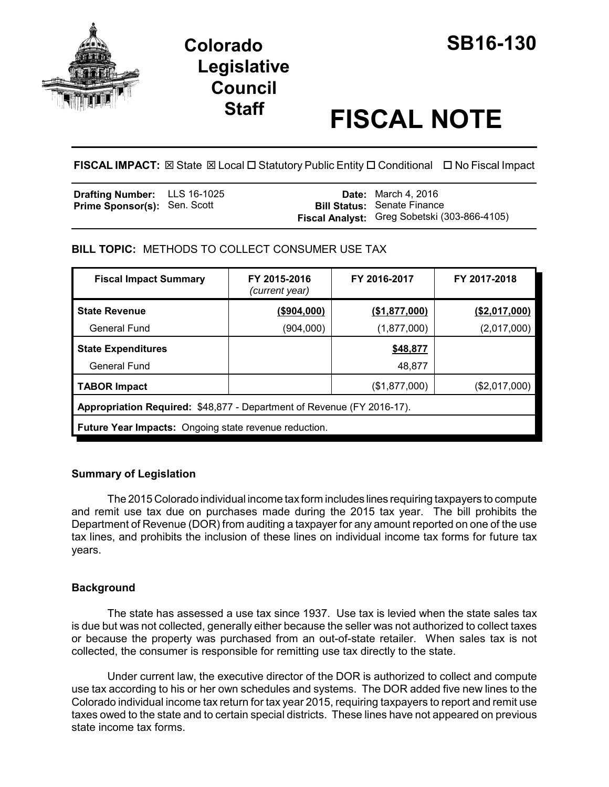

# **Colorado SB16-130 Legislative Council**

# **Staff FISCAL NOTE**

**FISCAL IMPACT:** ⊠ State ⊠ Local □ Statutory Public Entity □ Conditional □ No Fiscal Impact

| <b>Drafting Number:</b> LLS 16-1025 |  | <b>Date:</b> March 4, 2016                   |
|-------------------------------------|--|----------------------------------------------|
| <b>Prime Sponsor(s): Sen. Scott</b> |  | <b>Bill Status: Senate Finance</b>           |
|                                     |  | Fiscal Analyst: Greg Sobetski (303-866-4105) |

**BILL TOPIC:** METHODS TO COLLECT CONSUMER USE TAX

| <b>Fiscal Impact Summary</b>                                           | FY 2015-2016<br>(current year) | FY 2016-2017  | FY 2017-2018   |  |
|------------------------------------------------------------------------|--------------------------------|---------------|----------------|--|
| <b>State Revenue</b>                                                   | (\$904,000)                    | (\$1,877,000) | ( \$2,017,000) |  |
| General Fund                                                           | (904,000)                      | (1,877,000)   | (2,017,000)    |  |
| <b>State Expenditures</b>                                              |                                | \$48,877      |                |  |
| General Fund                                                           |                                | 48,877        |                |  |
| <b>TABOR Impact</b>                                                    |                                | (\$1,877,000) | (S2,017,000)   |  |
| Appropriation Required: \$48,877 - Department of Revenue (FY 2016-17). |                                |               |                |  |
| <b>Future Year Impacts:</b> Ongoing state revenue reduction.           |                                |               |                |  |

## **Summary of Legislation**

The 2015 Colorado individual income tax form includes lines requiring taxpayers to compute and remit use tax due on purchases made during the 2015 tax year. The bill prohibits the Department of Revenue (DOR) from auditing a taxpayer for any amount reported on one of the use tax lines, and prohibits the inclusion of these lines on individual income tax forms for future tax years.

# **Background**

The state has assessed a use tax since 1937. Use tax is levied when the state sales tax is due but was not collected, generally either because the seller was not authorized to collect taxes or because the property was purchased from an out-of-state retailer. When sales tax is not collected, the consumer is responsible for remitting use tax directly to the state.

Under current law, the executive director of the DOR is authorized to collect and compute use tax according to his or her own schedules and systems. The DOR added five new lines to the Colorado individual income tax return for tax year 2015, requiring taxpayers to report and remit use taxes owed to the state and to certain special districts. These lines have not appeared on previous state income tax forms.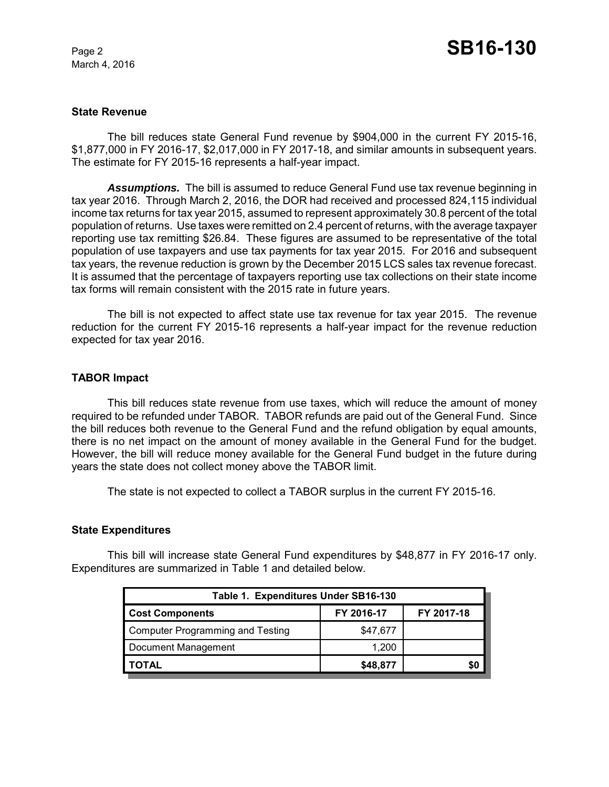March 4, 2016

#### **State Revenue**

The bill reduces state General Fund revenue by \$904,000 in the current FY 2015-16, \$1,877,000 in FY 2016-17, \$2,017,000 in FY 2017-18, and similar amounts in subsequent years. The estimate for FY 2015-16 represents a half-year impact.

*Assumptions.* The bill is assumed to reduce General Fund use tax revenue beginning in tax year 2016. Through March 2, 2016, the DOR had received and processed 824,115 individual income tax returns for tax year 2015, assumed to represent approximately 30.8 percent of the total population of returns. Use taxes were remitted on 2.4 percent of returns, with the average taxpayer reporting use tax remitting \$26.84. These figures are assumed to be representative of the total population of use taxpayers and use tax payments for tax year 2015. For 2016 and subsequent tax years, the revenue reduction is grown by the December 2015 LCS sales tax revenue forecast. It is assumed that the percentage of taxpayers reporting use tax collections on their state income tax forms will remain consistent with the 2015 rate in future years.

The bill is not expected to affect state use tax revenue for tax year 2015. The revenue reduction for the current FY 2015-16 represents a half-year impact for the revenue reduction expected for tax year 2016.

#### **TABOR Impact**

This bill reduces state revenue from use taxes, which will reduce the amount of money required to be refunded under TABOR. TABOR refunds are paid out of the General Fund. Since the bill reduces both revenue to the General Fund and the refund obligation by equal amounts, there is no net impact on the amount of money available in the General Fund for the budget. However, the bill will reduce money available for the General Fund budget in the future during years the state does not collect money above the TABOR limit.

The state is not expected to collect a TABOR surplus in the current FY 2015-16.

#### **State Expenditures**

This bill will increase state General Fund expenditures by \$48,877 in FY 2016-17 only. Expenditures are summarized in Table 1 and detailed below.

| Table 1. Expenditures Under SB16-130    |            |            |  |  |
|-----------------------------------------|------------|------------|--|--|
| <b>Cost Components</b>                  | FY 2016-17 | FY 2017-18 |  |  |
| <b>Computer Programming and Testing</b> | \$47,677   |            |  |  |
| Document Management                     | 1.200      |            |  |  |
| <b>TOTAL</b>                            | \$48,877   | \$0        |  |  |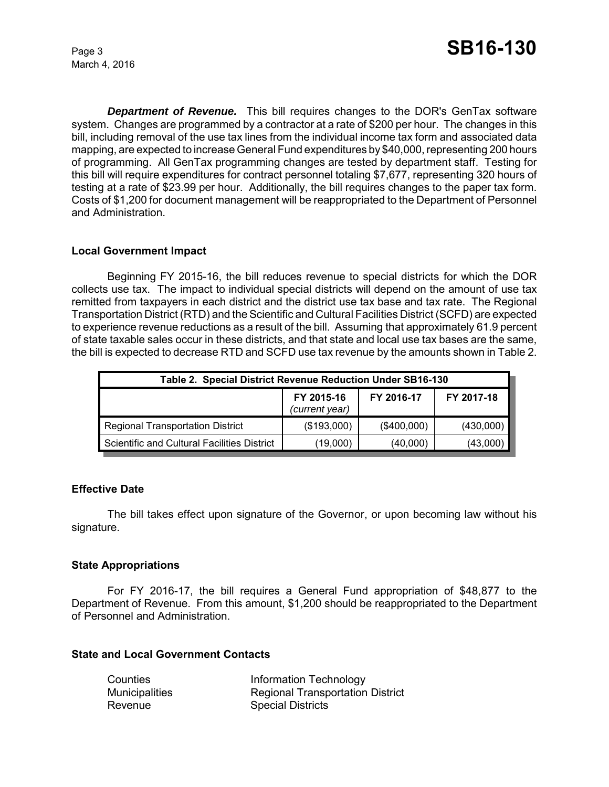March 4, 2016

*Department of Revenue.* This bill requires changes to the DOR's GenTax software system. Changes are programmed by a contractor at a rate of \$200 per hour. The changes in this bill, including removal of the use tax lines from the individual income tax form and associated data mapping, are expected to increase General Fund expenditures by \$40,000, representing 200 hours of programming. All GenTax programming changes are tested by department staff. Testing for this bill will require expenditures for contract personnel totaling \$7,677, representing 320 hours of testing at a rate of \$23.99 per hour. Additionally, the bill requires changes to the paper tax form. Costs of \$1,200 for document management will be reappropriated to the Department of Personnel and Administration.

#### **Local Government Impact**

Beginning FY 2015-16, the bill reduces revenue to special districts for which the DOR collects use tax. The impact to individual special districts will depend on the amount of use tax remitted from taxpayers in each district and the district use tax base and tax rate. The Regional Transportation District (RTD) and the Scientific and Cultural Facilities District (SCFD) are expected to experience revenue reductions as a result of the bill. Assuming that approximately 61.9 percent of state taxable sales occur in these districts, and that state and local use tax bases are the same, the bill is expected to decrease RTD and SCFD use tax revenue by the amounts shown in Table 2.

| Table 2. Special District Revenue Reduction Under SB16-130 |                              |             |            |  |
|------------------------------------------------------------|------------------------------|-------------|------------|--|
|                                                            | FY 2015-16<br>(current year) | FY 2016-17  | FY 2017-18 |  |
| <b>Regional Transportation District</b>                    | (\$193,000)                  | (\$400,000) | (430,000)  |  |
| Scientific and Cultural Facilities District                | (19,000)                     | (40,000)    | (43,000)   |  |

#### **Effective Date**

The bill takes effect upon signature of the Governor, or upon becoming law without his signature.

## **State Appropriations**

For FY 2016-17, the bill requires a General Fund appropriation of \$48,877 to the Department of Revenue. From this amount, \$1,200 should be reappropriated to the Department of Personnel and Administration.

#### **State and Local Government Contacts**

| Counties              | Information Technology                  |
|-----------------------|-----------------------------------------|
| <b>Municipalities</b> | <b>Regional Transportation District</b> |
| Revenue               | <b>Special Districts</b>                |